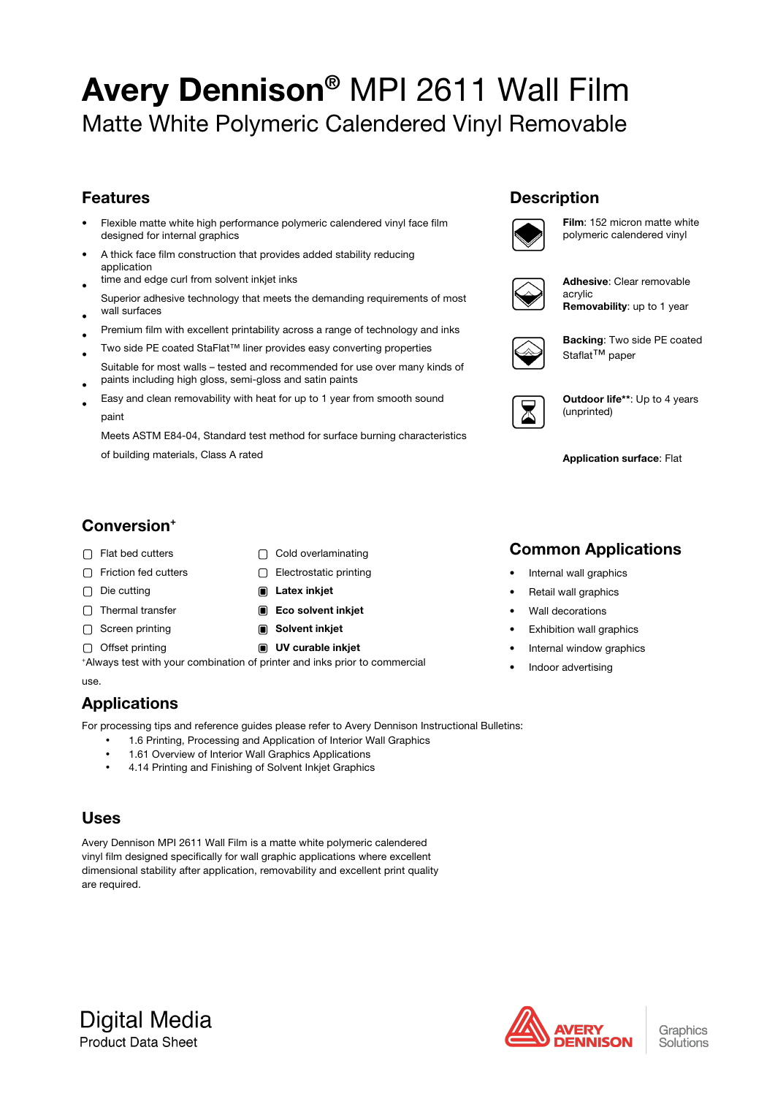# Avery Dennison® MPI 2611 Wall Film Matte White Polymeric Calendered Vinyl Removable

### Features

- Flexible matte white high performance polymeric calendered vinyl face film designed for internal graphics
- A thick face film construction that provides added stability reducing application
- time and edge curl from solvent inkjet inks
- Superior adhesive technology that meets the demanding requirements of most wall surfaces
- Premium film with excellent printability across a range of technology and inks
- Two side PE coated StaFlat™ liner provides easy converting properties
- Suitable for most walls – tested and recommended for use over many kinds of paints including high gloss, semi-gloss and satin paints
- Easy and clean removability with heat for up to 1 year from smooth sound paint

Meets ASTM E84-04, Standard test method for surface burning characteristics of building materials, Class A rated

### **Description**



Film: 152 micron matte white polymeric calendered vinyl

Adhesive: Clear removable acrylic Removability: up to 1 year

|--|

Backing: Two side PE coated Staflat<sup>™</sup> paper

Outdoor life\*\*: Up to 4 years (unprinted)

### Application surface: Flat

### Conversion+

- □ Flat bed cutters <br>
□ Cold overlaminating
- □ Friction fed cutters □ Electrostatic printing
- Die cutting **Die Cutting Community Die Latex inkjet**
- □ Thermal transfer  **Eco solvent inkjet**
- ◯ Screen printing (■ Solvent inkjet
- Offset printing **IV** curable inkjet
- -

+ Always test with your combination of printer and inks prior to commercial use.

## **Applications**

For processing tips and reference guides please refer to Avery Dennison Instructional Bulletins:

- 1.6 Printing, Processing and Application of Interior Wall Graphics
- 1.61 Overview of Interior Wall Graphics Applications
- 4.14 Printing and Finishing of Solvent Inkjet Graphics

### Uses

Avery Dennison MPI 2611 Wall Film is a matte white polymeric calendered vinyl film designed specifically for wall graphic applications where excellent dimensional stability after application, removability and excellent print quality are required.

### Common Applications

- Internal wall graphics
- Retail wall graphics
- Wall decorations
- Exhibition wall graphics
- Internal window graphics
- Indoor advertising